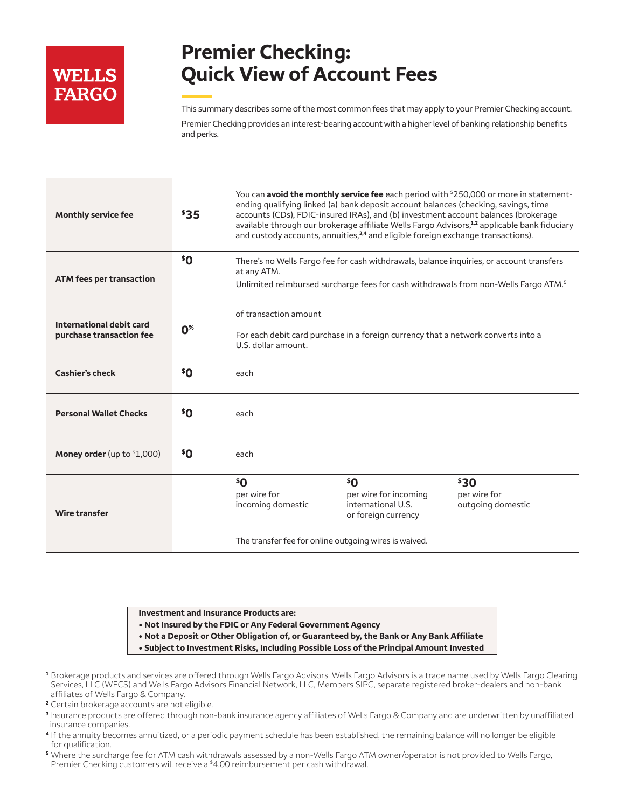# **WELLS FARGO**

# **Premier Checking: Quick View of Account Fees**

This summary describes some of the most common fees that may apply to your Premier Checking account.

Premier Checking provides an interest-bearing account with a higher level of banking relationship benefits and perks.

| <b>Monthly service fee</b>                           | \$35           | You can avoid the monthly service fee each period with \$250,000 or more in statement-<br>ending qualifying linked (a) bank deposit account balances (checking, savings, time<br>accounts (CDs), FDIC-insured IRAs), and (b) investment account balances (brokerage<br>available through our brokerage affiliate Wells Fargo Advisors, <sup>1,2</sup> applicable bank fiduciary<br>and custody accounts, annuities, <sup>3,4</sup> and eligible foreign exchange transactions). |                                                                           |                                           |  |
|------------------------------------------------------|----------------|---------------------------------------------------------------------------------------------------------------------------------------------------------------------------------------------------------------------------------------------------------------------------------------------------------------------------------------------------------------------------------------------------------------------------------------------------------------------------------|---------------------------------------------------------------------------|-------------------------------------------|--|
| \$Ο<br><b>ATM fees per transaction</b>               |                | There's no Wells Fargo fee for cash withdrawals, balance inquiries, or account transfers<br>at any ATM.<br>Unlimited reimbursed surcharge fees for cash withdrawals from non-Wells Fargo ATM. <sup>5</sup>                                                                                                                                                                                                                                                                      |                                                                           |                                           |  |
|                                                      |                |                                                                                                                                                                                                                                                                                                                                                                                                                                                                                 |                                                                           |                                           |  |
| International debit card<br>purchase transaction fee |                | of transaction amount                                                                                                                                                                                                                                                                                                                                                                                                                                                           |                                                                           |                                           |  |
|                                                      | 0 <sup>%</sup> | For each debit card purchase in a foreign currency that a network converts into a<br>U.S. dollar amount.                                                                                                                                                                                                                                                                                                                                                                        |                                                                           |                                           |  |
| <b>Cashier's check</b>                               | \$O            | each                                                                                                                                                                                                                                                                                                                                                                                                                                                                            |                                                                           |                                           |  |
| <b>Personal Wallet Checks</b>                        | \$Ο            | each                                                                                                                                                                                                                                                                                                                                                                                                                                                                            |                                                                           |                                           |  |
| <b>Money order</b> (up to $$1,000$ )                 | ۰ο             | each                                                                                                                                                                                                                                                                                                                                                                                                                                                                            |                                                                           |                                           |  |
| <b>Wire transfer</b>                                 |                | \$Ο<br>per wire for<br>incoming domestic<br>The transfer fee for online outgoing wires is waived.                                                                                                                                                                                                                                                                                                                                                                               | \$Ο<br>per wire for incoming<br>international U.S.<br>or foreign currency | \$30<br>per wire for<br>outgoing domestic |  |

**Investment and Insurance Products are:**

- **• Not Insured by the FDIC or Any Federal Government Agency**
- **• Not a Deposit or Other Obligation of, or Guaranteed by, the Bank or Any Bank Affiliate**
- **• Subject to Investment Risks, Including Possible Loss of the Principal Amount Invested**
- **1** Brokerage products and services are offered through Wells Fargo Advisors. Wells Fargo Advisors is a trade name used by Wells Fargo Clearing Services, LLC (WFCS) and Wells Fargo Advisors Financial Network, LLC, Members SIPC, separate registered broker-dealers and non-bank affiliates of Wells Fargo & Company.
- **<sup>2</sup>** Certain brokerage accounts are not eligible.
- **3** Insurance products are offered through non-bank insurance agency affiliates of Wells Fargo & Company and are underwritten by unaffiliated insurance companies.
- **4** If the annuity becomes annuitized, or a periodic payment schedule has been established, the remaining balance will no longer be eligible for qualification.
- **5** Where the surcharge fee for ATM cash withdrawals assessed by a non-Wells Fargo ATM owner/operator is not provided to Wells Fargo, Premier Checking customers will receive a \$4.00 reimbursement per cash withdrawal.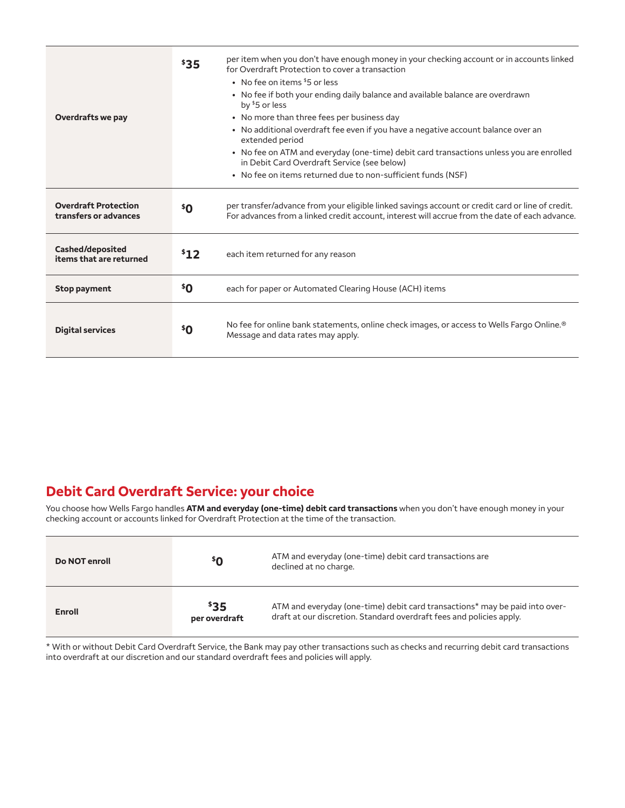| <b>Overdrafts we pay</b>                             | \$35            | per item when you don't have enough money in your checking account or in accounts linked<br>for Overdraft Protection to cover a transaction<br>• No fee on items \$5 or less<br>• No fee if both your ending daily balance and available balance are overdrawn<br>by \$5 or less<br>• No more than three fees per business day<br>• No additional overdraft fee even if you have a negative account balance over an<br>extended period<br>• No fee on ATM and everyday (one-time) debit card transactions unless you are enrolled<br>in Debit Card Overdraft Service (see below)<br>• No fee on items returned due to non-sufficient funds (NSF) |
|------------------------------------------------------|-----------------|--------------------------------------------------------------------------------------------------------------------------------------------------------------------------------------------------------------------------------------------------------------------------------------------------------------------------------------------------------------------------------------------------------------------------------------------------------------------------------------------------------------------------------------------------------------------------------------------------------------------------------------------------|
| <b>Overdraft Protection</b><br>transfers or advances | \$ <sub>0</sub> | per transfer/advance from your eligible linked savings account or credit card or line of credit.<br>For advances from a linked credit account, interest will accrue from the date of each advance.                                                                                                                                                                                                                                                                                                                                                                                                                                               |
| Cashed/deposited<br>items that are returned          | \$12            | each item returned for any reason                                                                                                                                                                                                                                                                                                                                                                                                                                                                                                                                                                                                                |
| <b>Stop payment</b>                                  | \$o\$           | each for paper or Automated Clearing House (ACH) items                                                                                                                                                                                                                                                                                                                                                                                                                                                                                                                                                                                           |
| <b>Digital services</b>                              | \$Ο             | No fee for online bank statements, online check images, or access to Wells Fargo Online. <sup>®</sup><br>Message and data rates may apply.                                                                                                                                                                                                                                                                                                                                                                                                                                                                                                       |

### **Debit Card Overdraft Service: your choice**

You choose how Wells Fargo handles **ATM and everyday (one-time) debit card transactions** when you don't have enough money in your checking account or accounts linked for Overdraft Protection at the time of the transaction.

| Do NOT enroll | \$O                   | ATM and everyday (one-time) debit card transactions are<br>declined at no charge.                                                                   |
|---------------|-----------------------|-----------------------------------------------------------------------------------------------------------------------------------------------------|
| <b>Enroll</b> | \$35<br>per overdraft | ATM and everyday (one-time) debit card transactions* may be paid into over-<br>draft at our discretion. Standard overdraft fees and policies apply. |

\* With or without Debit Card Overdraft Service, the Bank may pay other transactions such as checks and recurring debit card transactions into overdraft at our discretion and our standard overdraft fees and policies will apply.